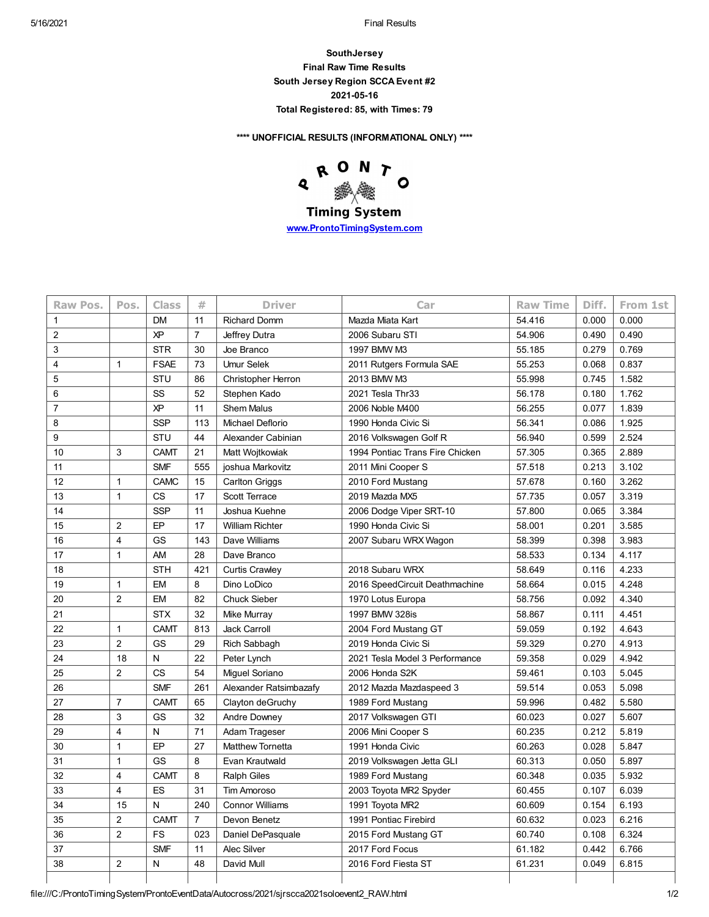**SouthJersey Final Raw Time Results South Jersey Region SCCA Event #2 2021-05-16 Total Registered: 85, with Times: 79**

**\*\*\*\* UNOFFICIAL RESULTS (INFORMATIONAL ONLY) \*\*\*\***



**[www.ProntoTimingSystem.com](http://www.prontotimingsystem.com/)**

| <b>Raw Pos.</b> | Pos.           | <b>Class</b> | #              | <b>Driver</b>           | Car                             | <b>Raw Time</b> | Diff. | From 1st |
|-----------------|----------------|--------------|----------------|-------------------------|---------------------------------|-----------------|-------|----------|
| $\mathbf{1}$    |                | <b>DM</b>    | 11             | <b>Richard Domm</b>     | Mazda Miata Kart                | 54.416          | 0.000 | 0.000    |
| $\overline{2}$  |                | <b>XP</b>    | $\overline{7}$ | Jeffrey Dutra           | 2006 Subaru STI                 | 54.906          | 0.490 | 0.490    |
| 3               |                | <b>STR</b>   | 30             | Joe Branco              | 1997 BMW M3                     | 55.185          | 0.279 | 0.769    |
| $\overline{4}$  | $\mathbf{1}$   | <b>FSAE</b>  | 73             | <b>Umur Selek</b>       | 2011 Rutgers Formula SAE        | 55.253          | 0.068 | 0.837    |
| 5               |                | STU          | 86             | Christopher Herron      | 2013 BMW M3                     | 55.998          | 0.745 | 1.582    |
| 6               |                | SS           | 52             | Stephen Kado            | 2021 Tesla Thr33                | 56.178          | 0.180 | 1.762    |
| $\overline{7}$  |                | XP           | 11             | <b>Shem Malus</b>       | 2006 Noble M400                 | 56.255          | 0.077 | 1.839    |
| 8               |                | <b>SSP</b>   | 113            | Michael Deflorio        | 1990 Honda Civic Si             | 56.341          | 0.086 | 1.925    |
| 9               |                | STU          | 44             | Alexander Cabinian      | 2016 Volkswagen Golf R          | 56.940          | 0.599 | 2.524    |
| 10              | 3              | <b>CAMT</b>  | 21             | Matt Wojtkowiak         | 1994 Pontiac Trans Fire Chicken | 57.305          | 0.365 | 2.889    |
| 11              |                | <b>SMF</b>   | 555            | joshua Markovitz        | 2011 Mini Cooper S              | 57.518          | 0.213 | 3.102    |
| 12              | $\mathbf{1}$   | <b>CAMC</b>  | 15             | <b>Carlton Griggs</b>   | 2010 Ford Mustang               | 57.678          | 0.160 | 3.262    |
| 13              | $\mathbf{1}$   | <b>CS</b>    | 17             | Scott Terrace           | 2019 Mazda MX5                  | 57.735          | 0.057 | 3.319    |
| 14              |                | <b>SSP</b>   | 11             | Joshua Kuehne           | 2006 Dodge Viper SRT-10         | 57.800          | 0.065 | 3.384    |
| 15              | 2              | EP           | 17             | <b>William Richter</b>  | 1990 Honda Civic Si             | 58.001          | 0.201 | 3.585    |
| 16              | $\overline{4}$ | GS           | 143            | Dave Williams           | 2007 Subaru WRX Wagon           | 58.399          | 0.398 | 3.983    |
| 17              | $\mathbf{1}$   | AM           | 28             | Dave Branco             |                                 | 58.533          | 0.134 | 4.117    |
| 18              |                | <b>STH</b>   | 421            | Curtis Crawley          | 2018 Subaru WRX                 | 58.649          | 0.116 | 4.233    |
| 19              | $\overline{1}$ | EM           | 8              | Dino LoDico             | 2016 SpeedCircuit Deathmachine  | 58.664          | 0.015 | 4.248    |
| 20              | $\overline{2}$ | EM           | 82             | <b>Chuck Sieber</b>     | 1970 Lotus Europa               | 58.756          | 0.092 | 4.340    |
| 21              |                | <b>STX</b>   | 32             | Mike Murray             | 1997 BMW 328is                  | 58.867          | 0.111 | 4.451    |
| 22              | $\mathbf{1}$   | <b>CAMT</b>  | 813            | <b>Jack Carroll</b>     | 2004 Ford Mustang GT            | 59.059          | 0.192 | 4.643    |
| 23              | $\overline{2}$ | GS           | 29             | Rich Sabbagh            | 2019 Honda Civic Si             | 59.329          | 0.270 | 4.913    |
| 24              | 18             | N            | 22             | Peter Lynch             | 2021 Tesla Model 3 Performance  | 59.358          | 0.029 | 4.942    |
| 25              | $\overline{2}$ | <b>CS</b>    | 54             | Miguel Soriano          | 2006 Honda S2K                  | 59.461          | 0.103 | 5.045    |
| 26              |                | <b>SMF</b>   | 261            | Alexander Ratsimbazafy  | 2012 Mazda Mazdaspeed 3         | 59.514          | 0.053 | 5.098    |
| 27              | $\overline{7}$ | <b>CAMT</b>  | 65             | Clayton deGruchy        | 1989 Ford Mustang               | 59.996          | 0.482 | 5.580    |
| 28              | 3              | GS           | 32             | Andre Downey            | 2017 Volkswagen GTI             | 60.023          | 0.027 | 5.607    |
| 29              | $\overline{4}$ | N            | 71             | Adam Trageser           | 2006 Mini Cooper S              | 60.235          | 0.212 | 5.819    |
| 30              | $\overline{1}$ | EP           | 27             | <b>Matthew Tornetta</b> | 1991 Honda Civic                | 60.263          | 0.028 | 5.847    |
| 31              | $\mathbf{1}$   | GS           | 8              | Evan Krautwald          | 2019 Volkswagen Jetta GLI       | 60.313          | 0.050 | 5.897    |
| 32              | $\overline{4}$ | <b>CAMT</b>  | 8              | <b>Ralph Giles</b>      | 1989 Ford Mustang               | 60.348          | 0.035 | 5.932    |
| 33              | $\overline{4}$ | ES           | 31             | <b>Tim Amoroso</b>      | 2003 Toyota MR2 Spyder          | 60.455          | 0.107 | 6.039    |
| 34              | 15             | N            | 240            | <b>Connor Williams</b>  | 1991 Toyota MR2                 | 60.609          | 0.154 | 6.193    |
| 35              | $\overline{2}$ | <b>CAMT</b>  | $\overline{7}$ | Devon Benetz            | 1991 Pontiac Firebird           | 60.632          | 0.023 | 6.216    |
| 36              | $\overline{2}$ | FS           | 023            | Daniel DePasquale       | 2015 Ford Mustang GT            | 60.740          | 0.108 | 6.324    |
| 37              |                | <b>SMF</b>   | 11             | Alec Silver             | 2017 Ford Focus                 | 61.182          | 0.442 | 6.766    |
| 38              | 2              | N            | 48             | David Mull              | 2016 Ford Fiesta ST             | 61.231          | 0.049 | 6.815    |
|                 |                |              |                |                         |                                 |                 |       |          |